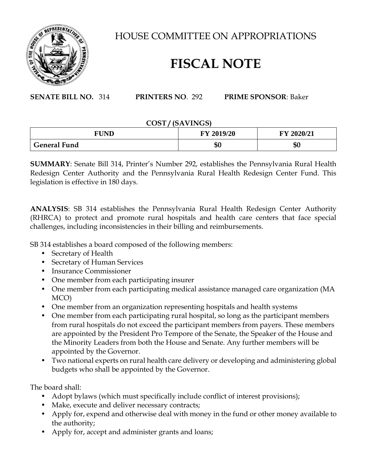

HOUSE COMMITTEE ON APPROPRIATIONS

## **FISCAL NOTE**

**SENATE BILL NO.** 314 **PRINTERS NO**. 292 **PRIME SPONSOR**: Baker

## **COST / (SAVINGS)**

| <b>FUND</b>         | FY 2019/20 | FY 2020/21 |
|---------------------|------------|------------|
| <b>General Fund</b> | \$0        | ጦ<br>ΦU    |

**SUMMARY**: Senate Bill 314, Printer's Number 292, establishes the Pennsylvania Rural Health Redesign Center Authority and the Pennsylvania Rural Health Redesign Center Fund. This legislation is effective in 180 days.

**ANALYSIS**: SB 314 establishes the Pennsylvania Rural Health Redesign Center Authority (RHRCA) to protect and promote rural hospitals and health care centers that face special challenges, including inconsistencies in their billing and reimbursements.

SB 314 establishes a board composed of the following members:

- Secretary of Health
- Secretary of Human Services
- Insurance Commissioner
- One member from each participating insurer
- One member from each participating medical assistance managed care organization (MA MCO)
- One member from an organization representing hospitals and health systems
- One member from each participating rural hospital, so long as the participant members from rural hospitals do not exceed the participant members from payers. These members are appointed by the President Pro Tempore of the Senate, the Speaker of the House and the Minority Leaders from both the House and Senate. Any further members will be appointed by the Governor.
- Two national experts on rural health care delivery or developing and administering global budgets who shall be appointed by the Governor.

The board shall:

- Adopt bylaws (which must specifically include conflict of interest provisions);
- Make, execute and deliver necessary contracts;
- Apply for, expend and otherwise deal with money in the fund or other money available to the authority;
- Apply for, accept and administer grants and loans;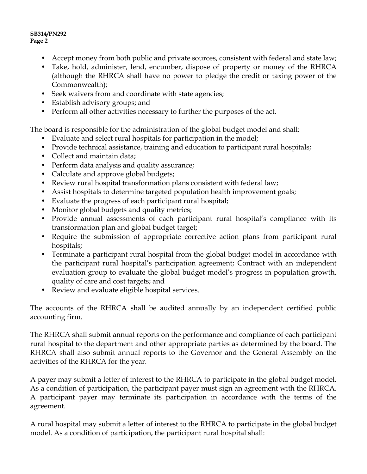## **SB314/PN292 Page 2**

- Accept money from both public and private sources, consistent with federal and state law;
- Take, hold, administer, lend, encumber, dispose of property or money of the RHRCA (although the RHRCA shall have no power to pledge the credit or taxing power of the Commonwealth);
- Seek waivers from and coordinate with state agencies;
- Establish advisory groups; and
- Perform all other activities necessary to further the purposes of the act.

The board is responsible for the administration of the global budget model and shall:

- Evaluate and select rural hospitals for participation in the model;
- Provide technical assistance, training and education to participant rural hospitals;
- Collect and maintain data;
- Perform data analysis and quality assurance;
- Calculate and approve global budgets;
- Review rural hospital transformation plans consistent with federal law;
- Assist hospitals to determine targeted population health improvement goals;
- Evaluate the progress of each participant rural hospital;
- Monitor global budgets and quality metrics;
- Provide annual assessments of each participant rural hospital's compliance with its transformation plan and global budget target;
- Require the submission of appropriate corrective action plans from participant rural hospitals;
- Terminate a participant rural hospital from the global budget model in accordance with the participant rural hospital's participation agreement; Contract with an independent evaluation group to evaluate the global budget model's progress in population growth, quality of care and cost targets; and
- Review and evaluate eligible hospital services.

The accounts of the RHRCA shall be audited annually by an independent certified public accounting firm.

The RHRCA shall submit annual reports on the performance and compliance of each participant rural hospital to the department and other appropriate parties as determined by the board. The RHRCA shall also submit annual reports to the Governor and the General Assembly on the activities of the RHRCA for the year.

A payer may submit a letter of interest to the RHRCA to participate in the global budget model. As a condition of participation, the participant payer must sign an agreement with the RHRCA. A participant payer may terminate its participation in accordance with the terms of the agreement.

A rural hospital may submit a letter of interest to the RHRCA to participate in the global budget model. As a condition of participation, the participant rural hospital shall: